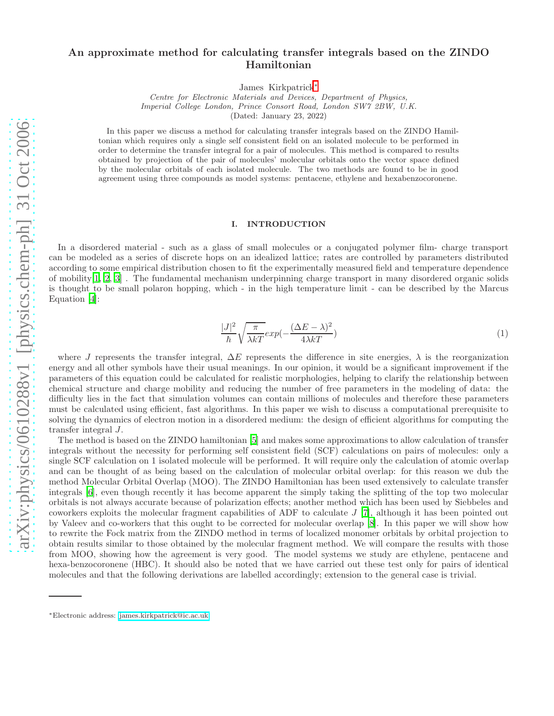# An approximate method for calculating transfer integrals based on the ZINDO Hamiltonian

James Kirkpatrick[∗](#page-0-0)

Centre for Electronic Materials and Devices, Department of Physics, Imperial College London, Prince Consort Road, London SW7 2BW, U.K. (Dated: January 23, 2022)

In this paper we discuss a method for calculating transfer integrals based on the ZINDO Hamiltonian which requires only a single self consistent field on an isolated molecule to be performed in order to determine the transfer integral for a pair of molecules. This method is compared to results obtained by projection of the pair of molecules' molecular orbitals onto the vector space defined by the molecular orbitals of each isolated molecule. The two methods are found to be in good agreement using three compounds as model systems: pentacene, ethylene and hexabenzocoronene.

### I. INTRODUCTION

In a disordered material - such as a glass of small molecules or a conjugated polymer film- charge transport can be modeled as a series of discrete hops on an idealized lattice; rates are controlled by parameters distributed according to some empirical distribution chosen to fit the experimentally measured field and temperature dependence of mobility[\[1](#page-6-0), [2,](#page-6-1) [3](#page-6-2)] . The fundamental mechanism underpinning charge transport in many disordered organic solids is thought to be small polaron hopping, which - in the high temperature limit - can be described by the Marcus Equation [\[4\]](#page-6-3):

$$
\frac{|J|^2}{\hbar} \sqrt{\frac{\pi}{\lambda kT}} exp(-\frac{(\Delta E - \lambda)^2}{4\lambda kT})
$$
\n(1)

where J represents the transfer integral,  $\Delta E$  represents the difference in site energies,  $\lambda$  is the reorganization energy and all other symbols have their usual meanings. In our opinion, it would be a significant improvement if the parameters of this equation could be calculated for realistic morphologies, helping to clarify the relationship between chemical structure and charge mobility and reducing the number of free parameters in the modeling of data: the difficulty lies in the fact that simulation volumes can contain millions of molecules and therefore these parameters must be calculated using efficient, fast algorithms. In this paper we wish to discuss a computational prerequisite to solving the dynamics of electron motion in a disordered medium: the design of efficient algorithms for computing the transfer integral J.

The method is based on the ZINDO hamiltonian [\[5\]](#page-6-4) and makes some approximations to allow calculation of transfer integrals without the necessity for performing self consistent field (SCF) calculations on pairs of molecules: only a single SCF calculation on 1 isolated molecule will be performed. It will require only the calculation of atomic overlap and can be thought of as being based on the calculation of molecular orbital overlap: for this reason we dub the method Molecular Orbital Overlap (MOO). The ZINDO Hamiltonian has been used extensively to calculate transfer integrals [\[6](#page-6-5)], even though recently it has become apparent the simply taking the splitting of the top two molecular orbitals is not always accurate because of polarization effects; another method which has been used by Siebbeles and coworkers exploits the molecular fragment capabilities of ADF to calculate J [\[7\]](#page-6-6), although it has been pointed out by Valeev and co-workers that this ought to be corrected for molecular overlap [\[8\]](#page-6-7). In this paper we will show how to rewrite the Fock matrix from the ZINDO method in terms of localized monomer orbitals by orbital projection to obtain results similar to those obtained by the molecular fragment method. We will compare the results with those from MOO, showing how the agreement is very good. The model systems we study are ethylene, pentacene and hexa-benzocoronene (HBC). It should also be noted that we have carried out these test only for pairs of identical molecules and that the following derivations are labelled accordingly; extension to the general case is trivial.

<span id="page-0-0"></span><sup>∗</sup>Electronic address: [james.kirkpatrick@ic.ac.uk](mailto:james.kirkpatrick@ic.ac.uk)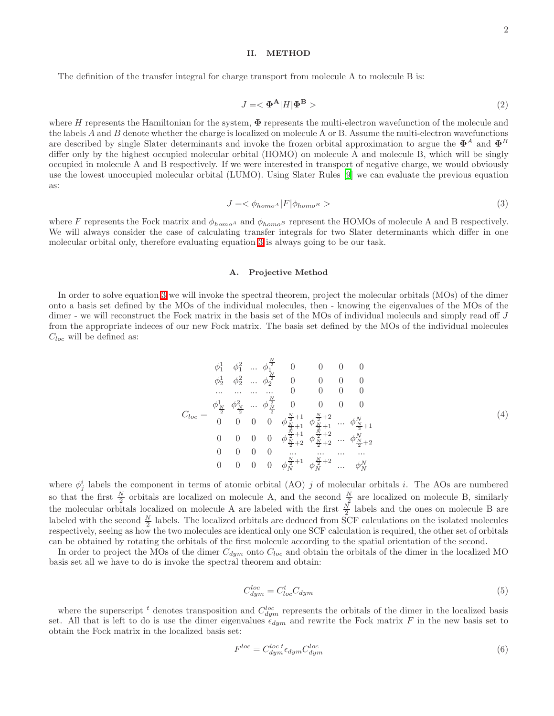#### II. METHOD

<span id="page-1-1"></span>The definition of the transfer integral for charge transport from molecule A to molecule B is:

$$
J = \langle \Phi^{\mathbf{A}} | H | \Phi^{\mathbf{B}} \rangle \tag{2}
$$

where H represents the Hamiltonian for the system,  $\Phi$  represents the multi-electron wavefunction of the molecule and the labels A and B denote whether the charge is localized on molecule A or B. Assume the multi-electron wavefunctions are described by single Slater determinants and invoke the frozen orbital approximation to argue the  $\Phi^A$  and  $\Phi^B$ differ only by the highest occupied molecular orbital (HOMO) on molecule A and molecule B, which will be singly occupied in molecule A and B respectively. If we were interested in transport of negative charge, we would obviously use the lowest unoccupied molecular orbital (LUMO). Using Slater Rules [\[9\]](#page-6-8) we can evaluate the previous equation as:

$$
J = \langle \phi_{homo} \vert F \vert \phi_{homo} \rangle \tag{3}
$$

<span id="page-1-0"></span>where F represents the Fock matrix and  $\phi_{homo^A}$  and  $\phi_{homo^B}$  represent the HOMOs of molecule A and B respectively. We will always consider the case of calculating transfer integrals for two Slater determinants which differ in one molecular orbital only, therefore evaluating equation [3](#page-1-0) is always going to be our task.

### A. Projective Method

In order to solve equation [3](#page-1-0) we will invoke the spectral theorem, project the molecular orbitals (MOs) of the dimer onto a basis set defined by the MOs of the individual molecules, then - knowing the eigenvalues of the MOs of the dimer - we will reconstruct the Fock matrix in the basis set of the MOs of individual moleculs and simply read off J from the appropriate indeces of our new Fock matrix. The basis set defined by the MOs of the individual molecules  $C_{loc}$  will be defined as:

Cloc = φ 1 <sup>1</sup> φ 2 1 ... φ N 2 1 0 0 0 0 φ 1 <sup>2</sup> φ 2 2 ... φ N 2 2 0 0 0 0 ... ... ... ... 0 0 0 0 φ 1 N 2 φ 2 N 2 ... φ N 2 N 2 0 0 0 0 0 0 0 0 φ N <sup>2</sup> +1 N <sup>2</sup> +1 <sup>φ</sup> N <sup>2</sup> +2 N <sup>2</sup> +1 ... φ<sup>N</sup> N <sup>2</sup> +1 0 0 0 0 φ N <sup>2</sup> +1 N <sup>2</sup> +2 <sup>φ</sup> N <sup>2</sup> +2 N <sup>2</sup> +2 ... φ<sup>N</sup> N <sup>2</sup> +2 0 0 0 0 ... ... ... ... 0 0 0 0 φ N <sup>2</sup> +1 <sup>N</sup> φ N <sup>2</sup> +2 <sup>N</sup> ... φ<sup>N</sup> N (4)

where  $\phi_i^i$  labels the component in terms of atomic orbital (AO) j of molecular orbitals i. The AOs are numbered where  $\varphi_j$  labels the component in terms of atomic orbital (AO) f or molecular orbitals t. The AOs are numbered<br>so that the first  $\frac{N}{2}$  orbitals are localized on molecule A, and the second  $\frac{N}{2}$  are localized on the molecular orbitals localized on molecule A are labeled with the first  $\frac{N}{2}$  labels and the ones on molecule B are labeled with the second  $\frac{N}{2}$  labels. The localized orbitals are deduced from SCF calculations on the isolated molecules respectively, seeing as how the two molecules are identical only one SCF calculation is required, the other set of orbitals can be obtained by rotating the orbitals of the first molecule according to the spatial orientation of the second.

In order to project the MOs of the dimer  $C_{dyn}$  onto  $C_{loc}$  and obtain the orbitals of the dimer in the localized MO basis set all we have to do is invoke the spectral theorem and obtain:

$$
C_{dyn}^{loc} = C_{loc}^t C_{dyn} \tag{5}
$$

where the superscript <sup>t</sup> denotes transposition and  $C_{dyn}^{loc}$  represents the orbitals of the dimer in the localized basis set. All that is left to do is use the dimer eigenvalues  $\epsilon_{dyn}$  and rewrite the Fock matrix F in the new basis set to obtain the Fock matrix in the localized basis set:

$$
F^{loc} = C_{dym}^{loc} \epsilon_{dym} C_{dym}^{loc} \tag{6}
$$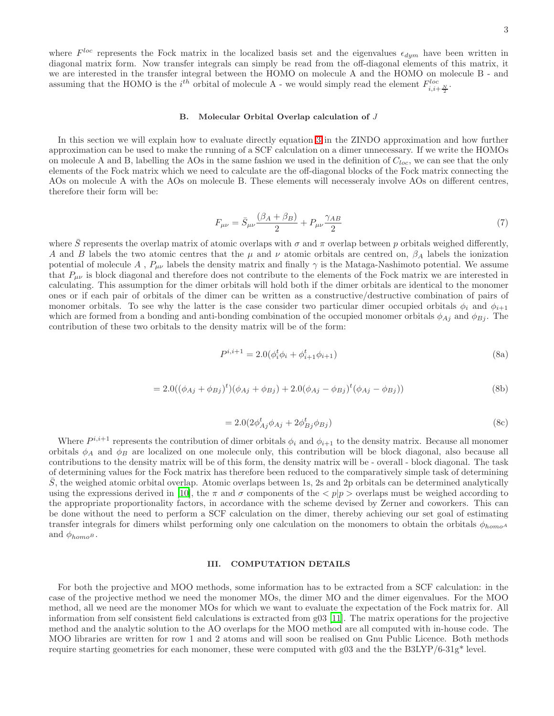where  $F^{loc}$  represents the Fock matrix in the localized basis set and the eigenvalues  $\epsilon_{dyn}$  have been written in diagonal matrix form. Now transfer integrals can simply be read from the off-diagonal elements of this matrix, it we are interested in the transfer integral between the HOMO on molecule A and the HOMO on molecule B - and assuming that the HOMO is the  $i^{th}$  orbital of molecule A - we would simply read the element  $F_{i,i+\frac{N}{2}}^{loc}$ .

#### B. Molecular Orbital Overlap calculation of J

In this section we will explain how to evaluate directly equation [3](#page-1-0) in the ZINDO approximation and how further approximation can be used to make the running of a SCF calculation on a dimer unnecessary. If we write the HOMOs on molecule A and B, labelling the AOs in the same fashion we used in the definition of  $C_{loc}$ , we can see that the only elements of the Fock matrix which we need to calculate are the off-diagonal blocks of the Fock matrix connecting the AOs on molecule A with the AOs on molecule B. These elements will necesseraly involve AOs on different centres, therefore their form will be:

$$
F_{\mu\nu} = \bar{S}_{\mu\nu} \frac{(\beta_A + \beta_B)}{2} + P_{\mu\nu} \frac{\gamma_{AB}}{2}
$$
\n<sup>(7)</sup>

where  $\overline{S}$  represents the overlap matrix of atomic overlaps with  $\sigma$  and  $\pi$  overlap between p orbitals weighed differently, A and B labels the two atomic centres that the  $\mu$  and  $\nu$  atomic orbitals are centred on,  $\beta_A$  labels the ionization potential of molecule A,  $P_{\mu\nu}$  labels the density matrix and finally  $\gamma$  is the Mataga-Nashimoto potential. We assume that  $P_{\mu\nu}$  is block diagonal and therefore does not contribute to the elements of the Fock matrix we are interested in calculating. This assumption for the dimer orbitals will hold both if the dimer orbitals are identical to the monomer ones or if each pair of orbitals of the dimer can be written as a constructive/destructive combination of pairs of monomer orbitals. To see why the latter is the case consider two particular dimer occupied orbitals  $\phi_i$  and  $\phi_{i+1}$ which are formed from a bonding and anti-bonding combination of the occupied monomer orbitals  $\phi_{Aj}$  and  $\phi_{Bj}$ . The contribution of these two orbitals to the density matrix will be of the form:

$$
P^{i,i+1} = 2.0(\phi_i^t \phi_i + \phi_{i+1}^t \phi_{i+1})
$$
\n(8a)

$$
=2.0((\phi_{Aj} + \phi_{Bj})^t)(\phi_{Aj} + \phi_{Bj}) + 2.0(\phi_{Aj} - \phi_{Bj})^t(\phi_{Aj} - \phi_{Bj}))
$$
\n(8b)

$$
=2.0(2\phi_{Aj}^{t}\phi_{Aj}+2\phi_{Bj}^{t}\phi_{Bj})
$$
\n(8c)

Where  $P^{i,i+1}$  represents the contribution of dimer orbitals  $\phi_i$  and  $\phi_{i+1}$  to the density matrix. Because all monomer orbitals  $\phi_A$  and  $\phi_B$  are localized on one molecule only, this contribution will be block diagonal, also because all contributions to the density matrix will be of this form, the density matrix will be - overall - block diagonal. The task of determining values for the Fock matrix has therefore been reduced to the comparatively simple task of determining  $\overline{S}$ , the weighed atomic orbital overlap. Atomic overlaps between 1s, 2s and 2p orbitals can be determined analytically using the expressions derived in [\[10\]](#page-6-9), the  $\pi$  and  $\sigma$  components of the  $\langle p|p\rangle$  overlaps must be weighed according to the appropriate proportionality factors, in accordance with the scheme devised by Zerner and coworkers. This can be done without the need to perform a SCF calculation on the dimer, thereby achieving our set goal of estimating transfer integrals for dimers whilst performing only one calculation on the monomers to obtain the orbitals  $\phi_{homoA}$ and  $\phi_{homo^B}$ .

### III. COMPUTATION DETAILS

For both the projective and MOO methods, some information has to be extracted from a SCF calculation: in the case of the projective method we need the monomer MOs, the dimer MO and the dimer eigenvalues. For the MOO method, all we need are the monomer MOs for which we want to evaluate the expectation of the Fock matrix for. All information from self consistent field calculations is extracted from g03 [\[11\]](#page-6-10). The matrix operations for the projective method and the analytic solution to the AO overlaps for the MOO method are all computed with in-house code. The MOO libraries are written for row 1 and 2 atoms and will soon be realised on Gnu Public Licence. Both methods require starting geometries for each monomer, these were computed with g03 and the the B3LYP/6-31g\* level.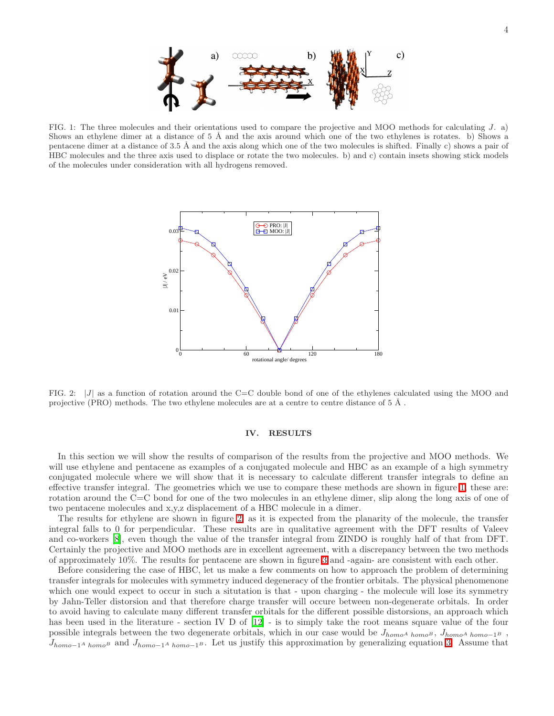

<span id="page-3-0"></span>FIG. 1: The three molecules and their orientations used to compare the projective and MOO methods for calculating J. a) Shows an ethylene dimer at a distance of  $5 \text{ Å}$  and the axis around which one of the two ethylenes is rotates. b) Shows a pentacene dimer at a distance of 3.5 Å and the axis along which one of the two molecules is shifted. Finally c) shows a pair of HBC molecules and the three axis used to displace or rotate the two molecules. b) and c) contain insets showing stick models of the molecules under consideration with all hydrogens removed.



<span id="page-3-1"></span>FIG. 2:  $|J|$  as a function of rotation around the C=C double bond of one of the ethylenes calculated using the MOO and projective (PRO) methods. The two ethylene molecules are at a centre to centre distance of  $5 \text{ Å}$ .

### IV. RESULTS

In this section we will show the results of comparison of the results from the projective and MOO methods. We will use ethylene and pentacene as examples of a conjugated molecule and HBC as an example of a high symmetry conjugated molecule where we will show that it is necessary to calculate different transfer integrals to define an effective transfer integral. The geometries which we use to compare these methods are shown in figure [1,](#page-3-0) these are: rotation around the C=C bond for one of the two molecules in an ethylene dimer, slip along the long axis of one of two pentacene molecules and x,y,z displacement of a HBC molecule in a dimer.

The results for ethylene are shown in figure [2,](#page-3-1) as it is expected from the planarity of the molecule, the transfer integral falls to 0 for perpendicular. These results are in qualitative agreement with the DFT results of Valeev and co-workers [\[8\]](#page-6-7), even though the value of the transfer integral from ZINDO is roughly half of that from DFT. Certainly the projective and MOO methods are in excellent agreement, with a discrepancy between the two methods of approximately 10%. The results for pentacene are shown in figure [3](#page-4-0) and -again- are consistent with each other.

Before considering the case of HBC, let us make a few comments on how to approach the problem of determining transfer integrals for molecules with symmetry induced degeneracy of the frontier orbitals. The physical phenomenone which one would expect to occur in such a situtation is that - upon charging - the molecule will lose its symmetry by Jahn-Teller distorsion and that therefore charge transfer will occure between non-degenerate orbitals. In order to avoid having to calculate many different transfer orbitals for the different possible distorsions, an approach which has been used in the literature - section IV D of  $[12]$  - is to simply take the root means square value of the four possible integrals between the two degenerate orbitals, which in our case would be  $J_{homo^A\ homo^B}$ ,  $J_{homo^A\ homo^{-1^B}}$ ,  $J_{homo-1}$ A homoB and  $J_{homo-1}$ A homo-1B. Let us justify this approximation by generalizing equation [3.](#page-1-0) Assume that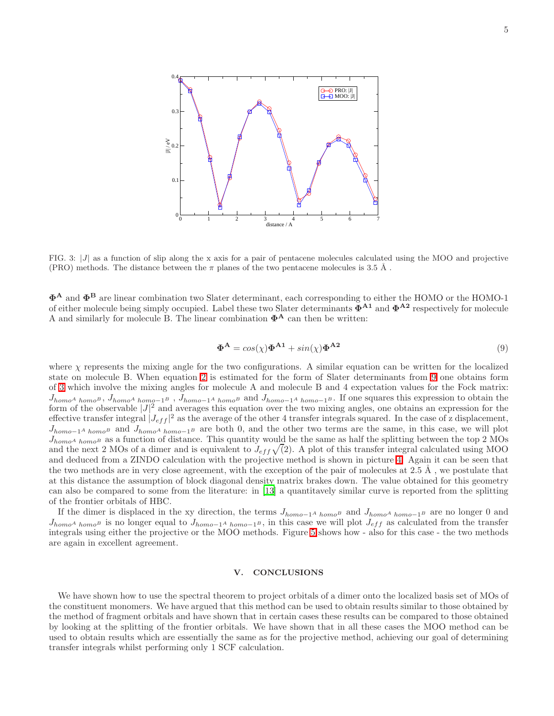

<span id="page-4-0"></span>FIG. 3: |J| as a function of slip along the x axis for a pair of pentacene molecules calculated using the MOO and projective (PRO) methods. The distance between the  $\pi$  planes of the two pentacene molecules is 3.5 Å.

<span id="page-4-1"></span>Φ<sup>A</sup> and Φ<sup>B</sup> are linear combination two Slater determinant, each corresponding to either the HOMO or the HOMO-1 of either molecule being simply occupied. Label these two Slater determinants  $\tilde{\Phi}^{A1}$  and  $\Phi^{A2}$  respectively for molecule A and similarly for molecule B. The linear combination  $\Phi^A$  can then be written:

$$
\Phi^{\mathbf{A}} = \cos(\chi)\Phi^{\mathbf{A1}} + \sin(\chi)\Phi^{\mathbf{A2}} \tag{9}
$$

where  $\chi$  represents the mixing angle for the two configurations. A similar equation can be written for the localized state on molecule B. When equation [2](#page-1-1) is estimated for the form of Slater determinants from [9](#page-4-1) one obtains form of [3](#page-1-0) which involve the mixing angles for molecule A and molecule B and 4 expectation values for the Fock matrix:  $J_{homoA \;homoB}$ ,  $J_{homoA \;homo-1B}$ ,  $J_{homo-1A \;homoB}$  and  $J_{homo-1A \;homo-1B}$ . If one squares this expression to obtain the form of the observable  $|J|^2$  and averages this equation over the two mixing angles, one obtains an expression for the effective transfer integral  $|J_{eff}|^2$  as the average of the other 4 transfer integrals squared. In the case of z displacement,  $J_{homo-1}$ <sup>A</sup> homo<sup>B</sup> and  $J_{homoA}$  homo-1<sup>B</sup> are both 0, and the other two terms are the same, in this case, we will plot  $J_{homoA_{homoB}}$  as a function of distance. This quantity would be the same as half the splitting between the top 2 MOs and the next 2 MOs of a dimer and is equivalent to  $J_{eff}\sqrt{2}$ . A plot of this transfer integral calculated using MOO and deduced from a ZINDO calculation with the projective method is shown in picture [4.](#page-5-0) Again it can be seen that the two methods are in very close agreement, with the exception of the pair of molecules at  $2.5 \text{ Å}$ , we postulate that at this distance the assumption of block diagonal density matrix brakes down. The value obtained for this geometry can also be compared to some from the literature: in [\[13\]](#page-6-12) a quantitavely similar curve is reported from the splitting of the frontier orbitals of HBC.

If the dimer is displaced in the xy direction, the terms  $J_{homo-1}$ <sup>A</sup> homo<sup>B</sup> and  $J_{homoA}$  homo-1<sup>B</sup> are no longer 0 and  $J_{homo^A \;homo^B}$  is no longer equal to  $J_{homo-1^A \;homo-1^B}$ , in this case we will plot  $J_{eff}$  as calculated from the transfer integrals using either the projective or the MOO methods. Figure [5](#page-5-1) shows how - also for this case - the two methods are again in excellent agreement.

## V. CONCLUSIONS

We have shown how to use the spectral theorem to project orbitals of a dimer onto the localized basis set of MOs of the constituent monomers. We have argued that this method can be used to obtain results similar to those obtained by the method of fragment orbitals and have shown that in certain cases these results can be compared to those obtained by looking at the splitting of the frontier orbitals. We have shown that in all these cases the MOO method can be used to obtain results which are essentially the same as for the projective method, achieving our goal of determining transfer integrals whilst performing only 1 SCF calculation.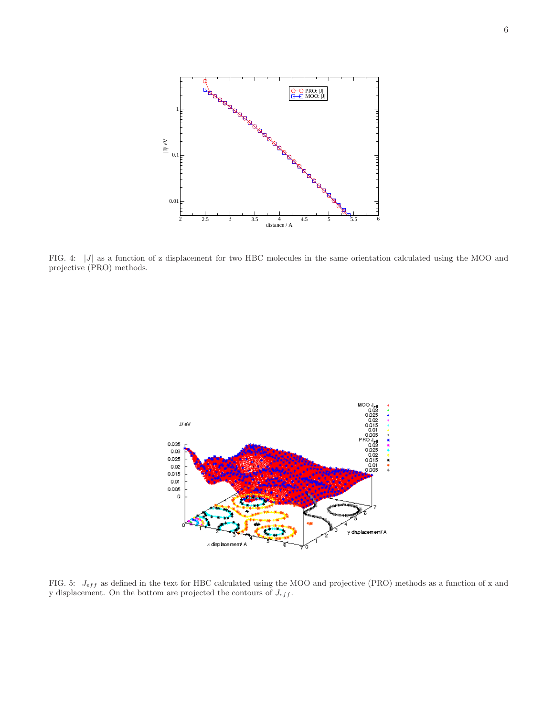

<span id="page-5-0"></span>FIG. 4: |J| as a function of z displacement for two HBC molecules in the same orientation calculated using the MOO and projective (PRO) methods.



<span id="page-5-1"></span>FIG. 5:  $J_{eff}$  as defined in the text for HBC calculated using the MOO and projective (PRO) methods as a function of x and y displacement. On the bottom are projected the contours of  $J_{eff}$ .